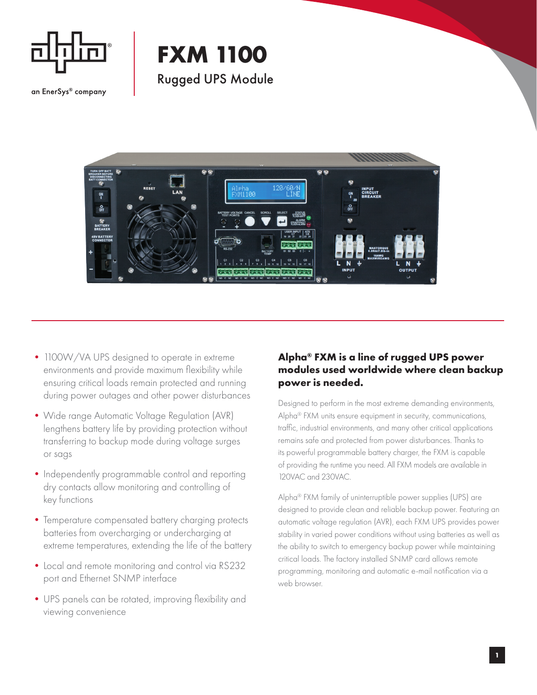

an EnerSys® company

## **FXM 1100** Rugged UPS Module



- 1100W/VA UPS designed to operate in extreme environments and provide maximum flexibility while ensuring critical loads remain protected and running during power outages and other power disturbances
- •Wide range Automatic Voltage Regulation (AVR) lengthens battery life by providing protection without transferring to backup mode during voltage surges or sags
- Independently programmable control and reporting dry contacts allow monitoring and controlling of key functions
- Temperature compensated battery charging protects batteries from overcharging or undercharging at extreme temperatures, extending the life of the battery
- •Local and remote monitoring and control via RS232 port and Ethernet SNMP interface
- •UPS panels can be rotated, improving flexibility and viewing convenience

## **Alpha® FXM is a line of rugged UPS power modules used worldwide where clean backup power is needed.**

Designed to perform in the most extreme demanding environments, Alpha® FXM units ensure equipment in security, communications, traffic, industrial environments, and many other critical applications remains safe and protected from power disturbances. Thanks to its powerful programmable battery charger, the FXM is capable of providing the runtime you need. All FXM models are available in 120VAC and 230VAC.

Alpha® FXM family of uninterruptible power supplies (UPS) are designed to provide clean and reliable backup power. Featuring an automatic voltage regulation (AVR), each FXM UPS provides power stability in varied power conditions without using batteries as well as the ability to switch to emergency backup power while maintaining critical loads. The factory installed SNMP card allows remote programming, monitoring and automatic e-mail notification via a web browser.